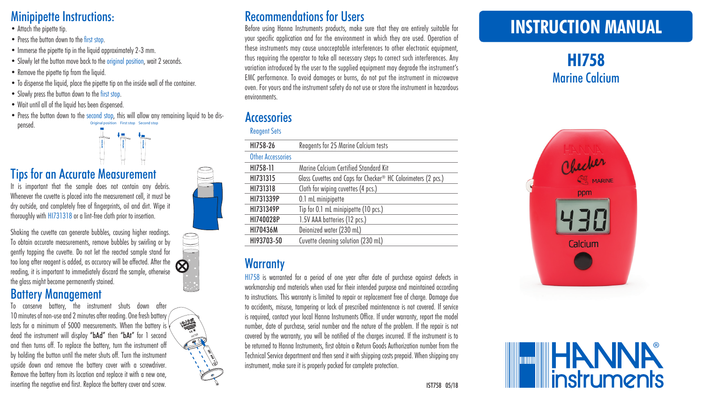#### Minipipette Instructions:

- Attach the pipette tip.
- Press the button down to the first stop.
- Immerse the pipette tip in the liquid approximately 2-3 mm.
- Slowly let the button move back to the original position, wait 2 seconds.
- Remove the pipette tip from the liquid.
- To dispense the liquid, place the pipette tip on the inside wall of the container.
- Slowly press the button down to the first stop.
- Wait until all of the liquid has been dispensed.
- Press the button down to the second stop, this will allow any remaining liquid to be dispensed. Original position First stop Second stop



### Tips for an Accurate Measurement

It is important that the sample does not contain any debris. Whenever the cuvette is placed into the measurement cell, it must be dry outside, and completely free of fingerprints, oil and dirt. Wipe it thoroughly with HI731318 or a lint-free cloth prior to insertion.

Shaking the cuvette can generate bubbles, causing higher readings. To obtain accurate measurements, remove bubbles by swirling or by gently tapping the cuvette. Do not let the reacted sample stand for too long after reagent is added, as accuracy will be affected. After the reading, it is important to immediately discard the sample, otherwise the glass might become permanently stained.

#### Battery Management

To conserve battery, the instrument shuts down after 10 minutes of non-use and 2 minutes after reading. One fresh battery / lasts for a minimum of 5000 measurements. When the battery is dead the instrument will display "bAd" then "bAt" for 1 second and then turns off. To replace the battery, turn the instrument off by holding the button until the meter shuts off. Turn the instrument upside down and remove the battery cover with a screwdriver. Remove the battery from its location and replace it with a new one, inserting the negative end first. Replace the battery cover and screw.



### Recommendations for Users

Before using Hanna Instruments products, make sure that they are entirely suitable for your specific application and for the environment in which they are used. Operation of these instruments may cause unacceptable interferences to other electronic equipment, thus requiring the operator to take all necessary steps to correct such interferences. Any variation introduced by the user to the supplied equipment may degrade the instrument's EMC performance. To avoid damages or burns, do not put the instrument in microwave oven. For yours and the instrument safety do not use or store the instrument in hazardous environments.

#### **Accessories**

#### Reagent Sets

| HI758-26                 | Reagents for 25 Marine Calcium tests                          |
|--------------------------|---------------------------------------------------------------|
| <b>Other Accessories</b> |                                                               |
| HI758-11                 | Marine Calcium Certified Standard Kit                         |
| HI731315                 | Glass Cuvettes and Caps for Checker® HC Colorimeters (2 pcs.) |
| HI731318                 | Cloth for wiping cuvettes (4 pcs.)                            |
| HI731339P                | 0.1 mL minipipette                                            |
| HI731349P                | Tip for 0.1 mL minipipette (10 pcs.)                          |
| HI740028P                | 1.5V AAA batteries (12 pcs.)                                  |
| HI70436M                 | Deionized water (230 mL)                                      |
| H193703-50               | Cuvette cleaning solution (230 mL)                            |
|                          |                                                               |

#### **Warranty**

HI758 is warranted for a period of one year after date of purchase against defects in workmanship and materials when used for their intended purpose and maintained according to instructions. This warranty is limited to repair or replacement free of charge. Damage due to accidents, misuse, tampering or lack of prescribed maintenance is not covered. If service is required, contact your local Hanna Instruments Office. If under warranty, report the model number, date of purchase, serial number and the nature of the problem. If the repair is not covered by the warranty, you will be notified of the charges incurred. If the instrument is to be returned to Hanna Instruments, first obtain a Return Goods Authorization number from the Technical Service department and then send it with shipping costs prepaid. When shipping any instrument, make sure it is properly packed for complete protection.

# **INSTRUCTION MANUAL**

## **HI758** Marine Calcium